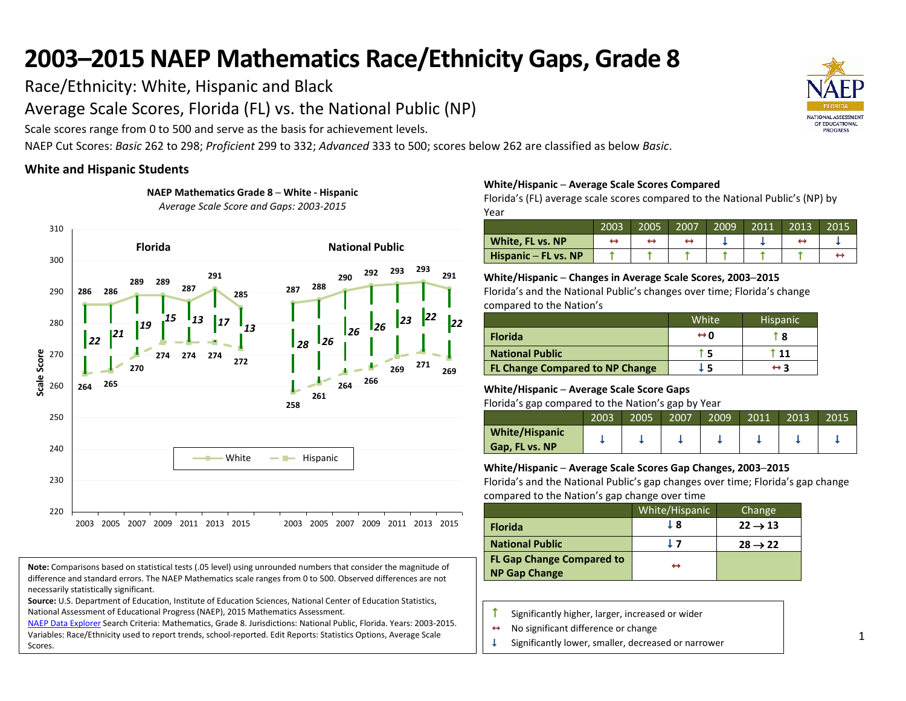Race/Ethnicity: White, Hispanic and Black

Average Scale Scores, Florida (FL) vs. the National Public (NP)

**NAEP Mathematics Grade 8 ─ White - Hispanic**

Scale scores range from 0 to 500 and serve as the basis for achievement levels.

NAEP Cut Scores: *Basic* 262 to 298; *Proficient* 299 to 332; *Advanced* 333 to 500; scores below 262 are classified as below *Basic*.

## **White and Hispanic Students**



**Note:** Comparisons based on statistical tests (.05 level) using unrounded numbers that consider the magnitude of difference and standard errors. The NAEP Mathematics scale ranges from 0 to 500. Observed differences are not necessarily statistically significant.

**Source:** U.S. Department of Education, Institute of Education Sciences, National Center of Education Statistics, National Assessment of Educational Progress (NAEP), 2015 Mathematics Assessment.

[NAEP Data Explorer](http://nces.ed.gov/nationsreportcard/naepdata/) Search Criteria: Mathematics, Grade 8. Jurisdictions: National Public, Florida. Years: 2003-2015. Variables: Race/Ethnicity used to report trends, school-reported. Edit Reports: Statistics Options, Average Scale Scores.

## **White/Hispanic ─ Average Scale Scores Compared**

Florida's (FL) average scale scores compared to the National Public's (NP) by Year

|                      | 2003 | 2005 | 2007 | 2009 | 2011 | 2013 | 2015 |
|----------------------|------|------|------|------|------|------|------|
| White, FL vs. NP     |      |      |      |      |      |      |      |
| Hispanic - FL vs. NP |      |      |      |      |      |      |      |

## **White/Hispanic ─ Changes in Average Scale Scores, 2003─2015**

Florida's and the National Public's changes over time; Florida's change compared to the Nation's

|                                        | White               | <b>Hispanic</b> |
|----------------------------------------|---------------------|-----------------|
| <b>Florida</b>                         | $\leftrightarrow$ 0 | î 8             |
| <b>National Public</b>                 |                     | 11              |
| <b>FL Change Compared to NP Change</b> | l 5                 | ↔ २             |

## **White/Hispanic ─ Average Scale Score Gaps**

Florida's gap compared to the Nation's gap by Year

| --                                      |      |      |      |      |      |      |      |
|-----------------------------------------|------|------|------|------|------|------|------|
|                                         | 2003 | 2005 | 2007 | 2009 | 2011 | 2013 | 2015 |
| <b>White/Hispanic</b><br>Gap, FL vs. NP |      |      |      |      |      |      |      |

## **White/Hispanic ─ Average Scale Scores Gap Changes, 2003─2015**

|                                  | White/Hispanic | Change              |
|----------------------------------|----------------|---------------------|
| <b>Florida</b>                   | J 8            | $22 \rightarrow 13$ |
| <b>National Public</b>           |                | $28 \rightarrow 22$ |
| <b>FL Gap Change Compared to</b> | ↔              |                     |
| <b>NP Gap Change</b>             |                |                     |

- Significantly higher, larger, increased or wider
- $\leftrightarrow$  No significant difference or change
- Significantly lower, smaller, decreased or narrower

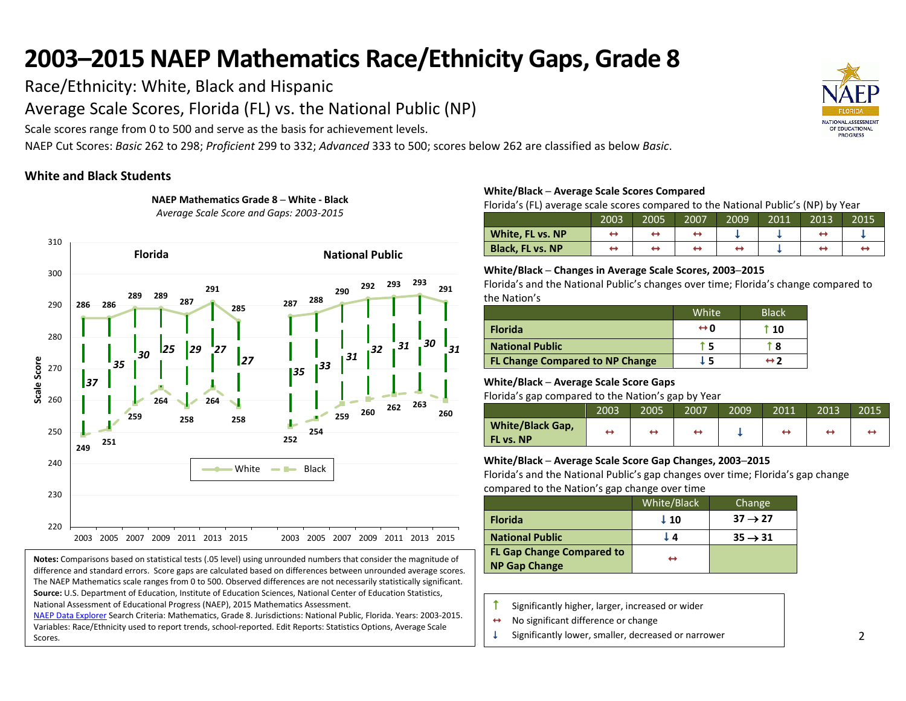Race/Ethnicity: White, Black and Hispanic

Average Scale Scores, Florida (FL) vs. the National Public (NP)

Scale scores range from 0 to 500 and serve as the basis for achievement levels.

NAEP Cut Scores: *Basic* 262 to 298; *Proficient* 299 to 332; *Advanced* 333 to 500; scores below 262 are classified as below *Basic*.

## **White and Black Students**





**Notes:** Comparisons based on statistical tests (.05 level) using unrounded numbers that consider the magnitude of difference and standard errors. Score gaps are calculated based on differences between unrounded average scores. The NAEP Mathematics scale ranges from 0 to 500. Observed differences are not necessarily statistically significant. **Source:** U.S. Department of Education, Institute of Education Sciences, National Center of Education Statistics, National Assessment of Educational Progress (NAEP), 2015 Mathematics Assessment.

[NAEP Data Explorer](http://nces.ed.gov/nationsreportcard/naepdata/) Search Criteria: Mathematics, Grade 8. Jurisdictions: National Public, Florida. Years: 2003-2015. Variables: Race/Ethnicity used to report trends, school-reported. Edit Reports: Statistics Options, Average Scale Scores.

## **White/Black ─ Average Scale Scores Compared**

Florida's (FL) average scale scores compared to the National Public's (NP) by Year

|                         | 2003 | 2005 | 2007 | 2009 | $\overline{20}11$ | 2013 | 2015 |
|-------------------------|------|------|------|------|-------------------|------|------|
| White, FL vs. NP        |      |      |      |      |                   |      |      |
| <b>Black, FL vs. NP</b> |      |      |      |      |                   |      |      |

## **White/Black ─ Changes in Average Scale Scores, 2003─2015**

Florida's and the National Public's changes over time; Florida's change compared to the Nation's

|                                        | White               | <b>Black</b> |
|----------------------------------------|---------------------|--------------|
| <b>Florida</b>                         | $\leftrightarrow$ 0 | † 10         |
| <b>National Public</b>                 |                     | 8            |
| <b>FL Change Compared to NP Change</b> | . 5                 | ↔ ?          |

## **White/Black ─ Average Scale Score Gaps**

Florida's gap compared to the Nation's gap by Year

|                                      | 2003 | 2005 | 2007 | 2009 | 2011 | 2013 | 2015 |
|--------------------------------------|------|------|------|------|------|------|------|
| <b>White/Black Gap,</b><br>FL vs. NP |      |      | ↔    |      | ↔    | ↔    |      |

### **White/Black ─ Average Scale Score Gap Changes, 2003─2015**

|                                                   | White/Black | Change              |
|---------------------------------------------------|-------------|---------------------|
| <b>Florida</b>                                    | $\perp$ 10  | $37 \rightarrow 27$ |
| <b>National Public</b>                            | L 4.        | $35 \rightarrow 31$ |
| <b>FL Gap Change Compared to</b><br>NP Gap Change | ↔           |                     |

- $\uparrow$  Significantly higher, larger, increased or wider
- $\leftrightarrow$  No significant difference or change
- $\downarrow$  Significantly lower, smaller, decreased or narrower

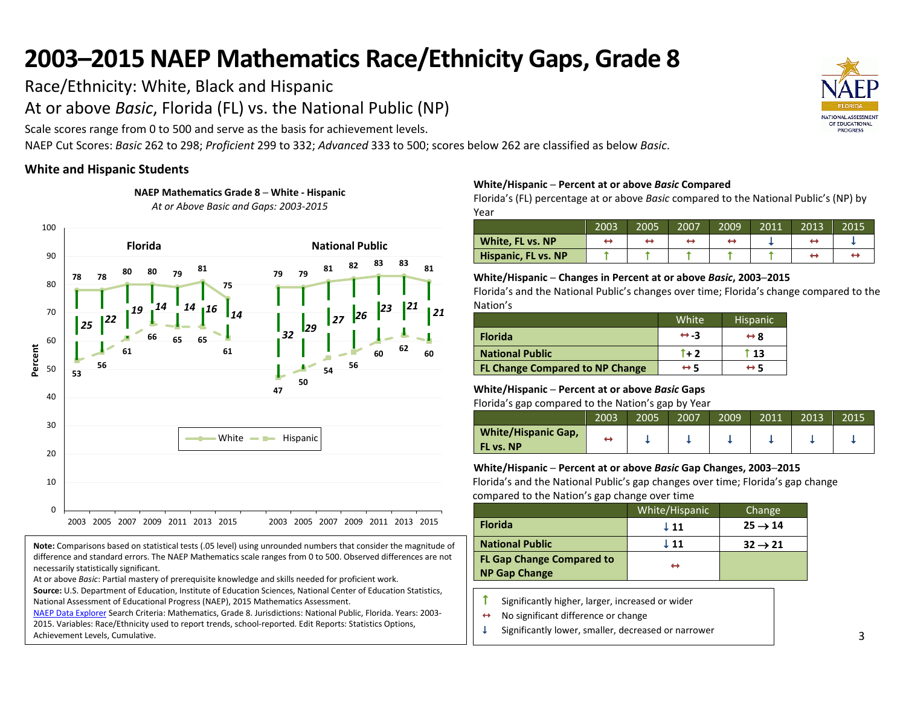Race/Ethnicity: White, Black and Hispanic

At or above *Basic*, Florida (FL) vs. the National Public (NP)

**NAEP Mathematics Grade 8 ─ White - Hispanic** *At or Above Basic and Gaps: 2003-2015*

Scale scores range from 0 to 500 and serve as the basis for achievement levels.

NAEP Cut Scores: *Basic* 262 to 298; *Proficient* 299 to 332; *Advanced* 333 to 500; scores below 262 are classified as below *Basic*.

## **White and Hispanic Students**

**78 78 80 80 <sup>79</sup> <sup>81</sup> 75 79 79 <sup>81</sup> <sup>82</sup> 83 83 <sup>81</sup> 53 56 61 66 65 65 61 47 50 <sup>54</sup> <sup>56</sup> <sup>60</sup> <sup>62</sup> <sup>60</sup>** *<sup>25</sup> <sup>22</sup> <sup>19</sup> <sup>14</sup> <sup>14</sup> <sup>16</sup> <sup>14</sup> <sup>32</sup> <sup>29</sup> <sup>27</sup> <sup>26</sup> <sup>23</sup> <sup>21</sup> <sup>21</sup>* 0 10 20 30 40 50 60 70 80 90 100 2003 2005 2007 2009 2011 2013 2015 2003 2005 2007 2009 2011 2013 2015 **Percent** White  $\longrightarrow$  Hispanic **Florida National Public**

**Note:** Comparisons based on statistical tests (.05 level) using unrounded numbers that consider the magnitude of difference and standard errors. The NAEP Mathematics scale ranges from 0 to 500. Observed differences are not necessarily statistically significant.

At or above *Basic*: Partial mastery of prerequisite knowledge and skills needed for proficient work.

**Source:** U.S. Department of Education, Institute of Education Sciences, National Center of Education Statistics, National Assessment of Educational Progress (NAEP), 2015 Mathematics Assessment.

[NAEP Data Explorer](http://nces.ed.gov/nationsreportcard/naepdata/) Search Criteria: Mathematics, Grade 8. Jurisdictions: National Public, Florida. Years: 2003- 2015. Variables: Race/Ethnicity used to report trends, school-reported. Edit Reports: Statistics Options, Achievement Levels, Cumulative.

## **White/Hispanic ─ Percent at or above** *Basic* **Compared**

Florida's (FL) percentage at or above *Basic* compared to the National Public's (NP) by Year

|                            | 2003 | 2005 | 2007 | 2009 | 2011 | 2013 | 2015 |
|----------------------------|------|------|------|------|------|------|------|
| White, FL vs. NP           |      |      |      |      |      |      |      |
| <b>Hispanic, FL vs. NP</b> |      |      |      |      |      |      |      |

## **White/Hispanic ─ Changes in Percent at or above** *Basic***, 2003─2015**

Florida's and the National Public's changes over time; Florida's change compared to the Nation's

|                                        | White               | <b>Hispanic</b>     |
|----------------------------------------|---------------------|---------------------|
| <b>Florida</b>                         | $leftrightarrow -3$ | $\leftrightarrow$ 8 |
| <b>National Public</b>                 | $\uparrow$ + 2      | t 13                |
| <b>FL Change Compared to NP Change</b> | $\leftrightarrow$ 5 | ↔ 5                 |

## **White/Hispanic ─ Percent at or above** *Basic* **Gaps**

Florida's gap compared to the Nation's gap by Year

|                                         | 2003 | 2005 | 2007 | 2009 | 2011 | 2013 | 2015 |
|-----------------------------------------|------|------|------|------|------|------|------|
| <b>White/Hispanic Gap,</b><br>FL vs. NP |      |      |      |      |      |      |      |

## **White/Hispanic ─ Percent at or above** *Basic* **Gap Changes, 2003─2015**

|                                  | White/Hispanic  | Change              |
|----------------------------------|-----------------|---------------------|
| <b>Florida</b>                   | $\downarrow$ 11 | $25 \rightarrow 14$ |
| <b>National Public</b>           | ↓ 11            | $32 \rightarrow 21$ |
| <b>FL Gap Change Compared to</b> | ↔               |                     |
| <b>NP Gap Change</b>             |                 |                     |

- Significantly higher, larger, increased or wider
- $\leftrightarrow$  No significant difference or change
- $\downarrow$  Significantly lower, smaller, decreased or narrower

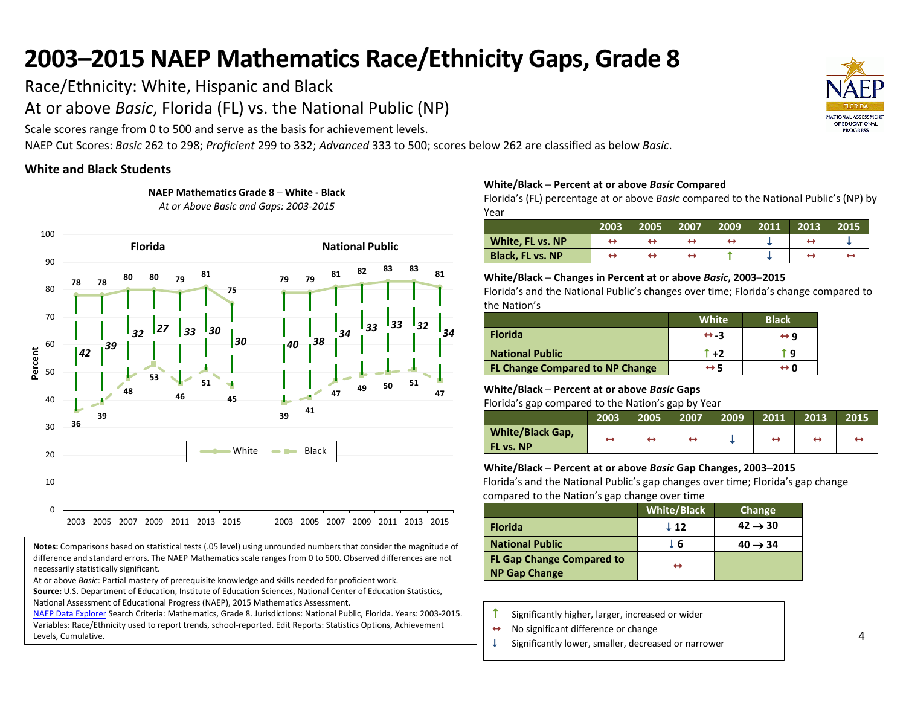Race/Ethnicity: White, Hispanic and Black

At or above *Basic*, Florida (FL) vs. the National Public (NP)

Scale scores range from 0 to 500 and serve as the basis for achievement levels.

NAEP Cut Scores: *Basic* 262 to 298; *Proficient* 299 to 332; *Advanced* 333 to 500; scores below 262 are classified as below *Basic*.

## **White and Black Students**



**NAEP Mathematics Grade 8 ─ White - Black** *At or Above Basic and Gaps: 2003-2015*

#### **Notes:** Comparisons based on statistical tests (.05 level) using unrounded numbers that consider the magnitude of difference and standard errors. The NAEP Mathematics scale ranges from 0 to 500. Observed differences are not necessarily statistically significant.

At or above *Basic*: Partial mastery of prerequisite knowledge and skills needed for proficient work.

**Source:** U.S. Department of Education, Institute of Education Sciences, National Center of Education Statistics, National Assessment of Educational Progress (NAEP), 2015 Mathematics Assessment.

[NAEP Data Explorer](http://nces.ed.gov/nationsreportcard/naepdata/) Search Criteria: Mathematics, Grade 8. Jurisdictions: National Public, Florida. Years: 2003-2015. Variables: Race/Ethnicity used to report trends, school-reported. Edit Reports: Statistics Options, Achievement Levels, Cumulative.

### **White/Black ─ Percent at or above** *Basic* **Compared**

Florida's (FL) percentage at or above *Basic* compared to the National Public's (NP) by Year

|                         | 2003 | 2005 | 2007 | 2009 | 2011 | 2013 | 2015 |
|-------------------------|------|------|------|------|------|------|------|
| White, FL vs. NP        |      |      |      |      |      |      |      |
| <b>Black, FL vs. NP</b> |      |      |      |      |      |      |      |

## **White/Black ─ Changes in Percent at or above** *Basic***, 2003─2015**

Florida's and the National Public's changes over time; Florida's change compared to the Nation's

|                                        | White               | <b>Black</b> |
|----------------------------------------|---------------------|--------------|
| <b>Florida</b>                         | $leftrightarrow -3$ | ↔ 9          |
| <b>National Public</b>                 | $\uparrow$ +2       | r q          |
| <b>FL Change Compared to NP Change</b> | $\leftrightarrow$ 5 | ⇔n           |

### **White/Black ─ Percent at or above** *Basic* **Gaps**

Florida's gap compared to the Nation's gap by Year

|                                      | 2003 | 2005 | 2007 | 2009 | 2011 | 2013 | 2015 |
|--------------------------------------|------|------|------|------|------|------|------|
| <b>White/Black Gap,</b><br>FL vs. NP | ↔    | ↔    |      |      | ↔    |      |      |

## **White/Black ─ Percent at or above** *Basic* **Gap Changes, 2003─2015**

|                                  | <b>White/Black</b> | Change              |
|----------------------------------|--------------------|---------------------|
| <b>Florida</b>                   | $\perp$ 12         | $42 \rightarrow 30$ |
| <b>National Public</b>           | - 6                | $40 \rightarrow 34$ |
| <b>FL Gap Change Compared to</b> | ↔                  |                     |
| <b>NP Gap Change</b>             |                    |                     |

- $\uparrow$  Significantly higher, larger, increased or wider
- $\leftrightarrow$  No significant difference or change
- $\downarrow$  Significantly lower, smaller, decreased or narrower

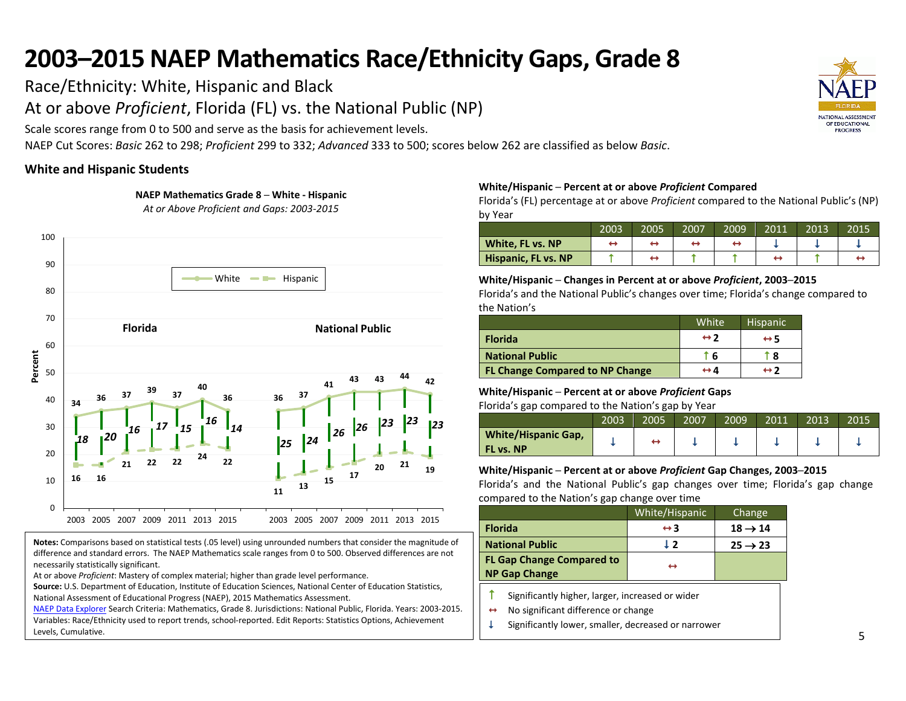Race/Ethnicity: White, Hispanic and Black

At or above *Proficient*, Florida (FL) vs. the National Public (NP)

Scale scores range from 0 to 500 and serve as the basis for achievement levels.

**NAEP Mathematics Grade 8 ─ White - Hispanic**

NAEP Cut Scores: *Basic* 262 to 298; *Proficient* 299 to 332; *Advanced* 333 to 500; scores below 262 are classified as below *Basic*.

## **White and Hispanic Students**



**Notes:** Comparisons based on statistical tests (.05 level) using unrounded numbers that consider the magnitude of difference and standard errors. The NAEP Mathematics scale ranges from 0 to 500. Observed differences are not necessarily statistically significant.

At or above *Proficient*: Mastery of complex material; higher than grade level performance.

**Source:** U.S. Department of Education, Institute of Education Sciences, National Center of Education Statistics, National Assessment of Educational Progress (NAEP), 2015 Mathematics Assessment.

[NAEP Data Explorer](http://nces.ed.gov/nationsreportcard/naepdata/) Search Criteria: Mathematics, Grade 8. Jurisdictions: National Public, Florida. Years: 2003-2015. Variables: Race/Ethnicity used to report trends, school-reported. Edit Reports: Statistics Options, Achievement Levels, Cumulative.

## **White/Hispanic ─ Percent at or above** *Proficient* **Compared**

Florida's (FL) percentage at or above *Proficient* compared to the National Public's (NP) by Year

|                     | 2003 | 2005 | 2007 | 2009 | 2011 | 2013 | 2015 |
|---------------------|------|------|------|------|------|------|------|
| White, FL vs. NP    |      |      |      |      |      |      |      |
| Hispanic, FL vs. NP |      |      |      |      |      |      |      |

## **White/Hispanic ─ Changes in Percent at or above** *Proficient***, 2003─2015**

Florida's and the National Public's changes over time; Florida's change compared to the Nation's

|                                        | White'              | <b>Hispanic</b>     |
|----------------------------------------|---------------------|---------------------|
| <b>Florida</b>                         | $\leftrightarrow$ 2 | $\leftrightarrow$ 5 |
| <b>National Public</b>                 | ` 6                 | 8                   |
| <b>FL Change Compared to NP Change</b> | ↔ 4                 | $leftrightarrow$ 2  |

## **White/Hispanic ─ Percent at or above** *Proficient* **Gaps**

Florida's gap compared to the Nation's gap by Year

|                                         | 2003 | 2005 | 2007 | 2009 | 2011 | 2013 | 2015 |
|-----------------------------------------|------|------|------|------|------|------|------|
| <b>White/Hispanic Gap,</b><br>FL vs. NP |      |      |      |      |      |      |      |

### **White/Hispanic ─ Percent at or above** *Proficient* **Gap Changes, 2003─2015**

|                                                          | White/Hispanic      | Change              |
|----------------------------------------------------------|---------------------|---------------------|
| <b>Florida</b>                                           | $\leftrightarrow$ 3 | $18 \rightarrow 14$ |
| <b>National Public</b>                                   | 19                  | $25 \rightarrow 23$ |
| <b>FL Gap Change Compared to</b><br><b>NP Gap Change</b> | ↔                   |                     |

- $\uparrow$  Significantly higher, larger, increased or wider
- $\leftrightarrow$  No significant difference or change
- $\downarrow$  Significantly lower, smaller, decreased or narrower